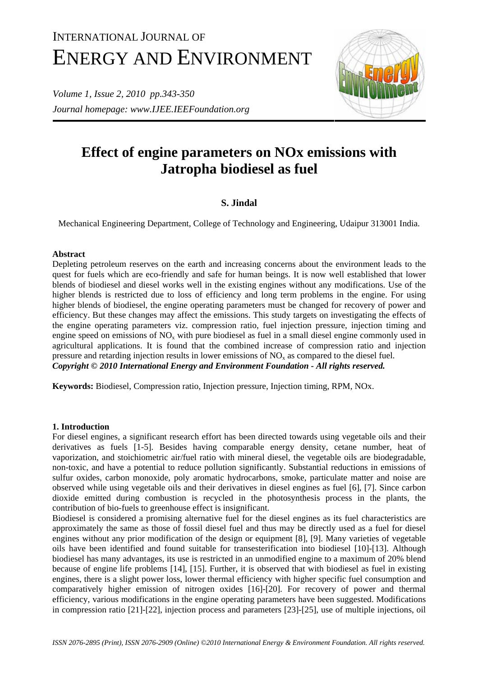# INTERNATIONAL JOURNAL OF ENERGY AND ENVIRONMENT

*Volume 1, Issue 2, 2010 pp.343-350 Journal homepage: www.IJEE.IEEFoundation.org* 



# **Effect of engine parameters on NOx emissions with Jatropha biodiesel as fuel**

# **S. Jindal**

Mechanical Engineering Department, College of Technology and Engineering, Udaipur 313001 India.

# **Abstract**

Depleting petroleum reserves on the earth and increasing concerns about the environment leads to the quest for fuels which are eco-friendly and safe for human beings. It is now well established that lower blends of biodiesel and diesel works well in the existing engines without any modifications. Use of the higher blends is restricted due to loss of efficiency and long term problems in the engine. For using higher blends of biodiesel, the engine operating parameters must be changed for recovery of power and efficiency. But these changes may affect the emissions. This study targets on investigating the effects of the engine operating parameters viz. compression ratio, fuel injection pressure, injection timing and engine speed on emissions of  $NO_x$  with pure biodiesel as fuel in a small diesel engine commonly used in agricultural applications. It is found that the combined increase of compression ratio and injection pressure and retarding injection results in lower emissions of  $NO<sub>x</sub>$  as compared to the diesel fuel. *Copyright © 2010 International Energy and Environment Foundation - All rights reserved.*

**Keywords:** Biodiesel, Compression ratio, Injection pressure, Injection timing, RPM, NOx.

# **1. Introduction**

For diesel engines, a significant research effort has been directed towards using vegetable oils and their derivatives as fuels [1-5]. Besides having comparable energy density, cetane number, heat of vaporization, and stoichiometric air/fuel ratio with mineral diesel, the vegetable oils are biodegradable, non-toxic, and have a potential to reduce pollution significantly. Substantial reductions in emissions of sulfur oxides, carbon monoxide, poly aromatic hydrocarbons, smoke, particulate matter and noise are observed while using vegetable oils and their derivatives in diesel engines as fuel [6], [7]. Since carbon dioxide emitted during combustion is recycled in the photosynthesis process in the plants, the contribution of bio-fuels to greenhouse effect is insignificant.

Biodiesel is considered a promising alternative fuel for the diesel engines as its fuel characteristics are approximately the same as those of fossil diesel fuel and thus may be directly used as a fuel for diesel engines without any prior modification of the design or equipment [8], [9]. Many varieties of vegetable oils have been identified and found suitable for transesterification into biodiesel [10]-[13]. Although biodiesel has many advantages, its use is restricted in an unmodified engine to a maximum of 20% blend because of engine life problems [14], [15]. Further, it is observed that with biodiesel as fuel in existing engines, there is a slight power loss, lower thermal efficiency with higher specific fuel consumption and comparatively higher emission of nitrogen oxides [16]-[20]. For recovery of power and thermal efficiency, various modifications in the engine operating parameters have been suggested. Modifications in compression ratio [21]-[22], injection process and parameters [23]-[25], use of multiple injections, oil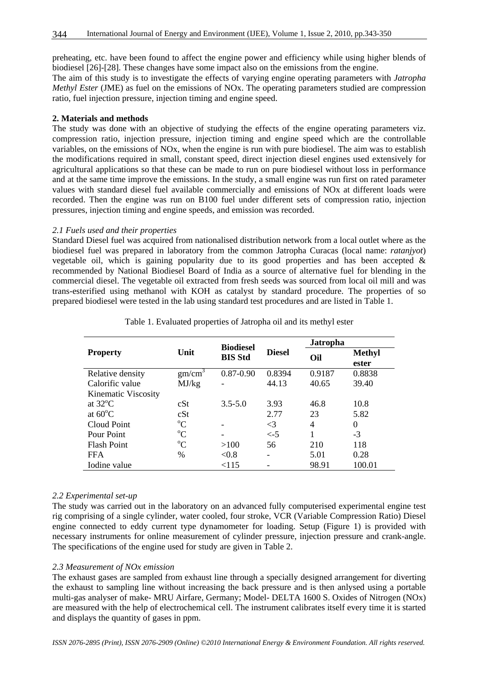preheating, etc. have been found to affect the engine power and efficiency while using higher blends of biodiesel [26]-[28]. These changes have some impact also on the emissions from the engine.

The aim of this study is to investigate the effects of varying engine operating parameters with *Jatropha Methyl Ester* (JME) as fuel on the emissions of NOx. The operating parameters studied are compression ratio, fuel injection pressure, injection timing and engine speed.

#### **2. Materials and methods**

The study was done with an objective of studying the effects of the engine operating parameters viz. compression ratio, injection pressure, injection timing and engine speed which are the controllable variables, on the emissions of NOx, when the engine is run with pure biodiesel. The aim was to establish the modifications required in small, constant speed, direct injection diesel engines used extensively for agricultural applications so that these can be made to run on pure biodiesel without loss in performance and at the same time improve the emissions. In the study, a small engine was run first on rated parameter values with standard diesel fuel available commercially and emissions of NOx at different loads were recorded. Then the engine was run on B100 fuel under different sets of compression ratio, injection pressures, injection timing and engine speeds, and emission was recorded.

#### *2.1 Fuels used and their properties*

Standard Diesel fuel was acquired from nationalised distribution network from a local outlet where as the biodiesel fuel was prepared in laboratory from the common Jatropha Curacas (local name: *ratanjyot*) vegetable oil, which is gaining popularity due to its good properties and has been accepted  $\&$ recommended by National Biodiesel Board of India as a source of alternative fuel for blending in the commercial diesel. The vegetable oil extracted from fresh seeds was sourced from local oil mill and was trans-esterified using methanol with KOH as catalyst by standard procedure. The properties of so prepared biodiesel were tested in the lab using standard test procedures and are listed in Table 1.

|                     |                    |                                    |               | <b>Jatropha</b> |                        |
|---------------------|--------------------|------------------------------------|---------------|-----------------|------------------------|
| <b>Property</b>     | Unit               | <b>Biodiesel</b><br><b>BIS Std</b> | <b>Diesel</b> | Oil             | <b>Methyl</b><br>ester |
| Relative density    | gm/cm <sup>3</sup> | $0.87 - 0.90$                      | 0.8394        | 0.9187          | 0.8838                 |
| Calorific value     | MJ/kg              |                                    | 44.13         | 40.65           | 39.40                  |
| Kinematic Viscosity |                    |                                    |               |                 |                        |
| at $32^{\circ}$ C   | cSt                | $3.5 - 5.0$                        | 3.93          | 46.8            | 10.8                   |
| at $60^{\circ}$ C   | cSt                |                                    | 2.77          | 23              | 5.82                   |
| Cloud Point         | $\rm ^{o}C$        |                                    | $\leq$ 3      | 4               | $\theta$               |
| Pour Point          | $\rm ^{o}C$        |                                    | $\lt$ -5      | 1               | $-3$                   |
| <b>Flash Point</b>  | $\rm ^{o}C$        | >100                               | 56            | 210             | 118                    |
| <b>FFA</b>          | $\frac{0}{0}$      | &0.8                               |               | 5.01            | 0.28                   |
| Iodine value        |                    | < 115                              |               | 98.91           | 100.01                 |

Table 1. Evaluated properties of Jatropha oil and its methyl ester

# *2.2 Experimental set-up*

The study was carried out in the laboratory on an advanced fully computerised experimental engine test rig comprising of a single cylinder, water cooled, four stroke, VCR (Variable Compression Ratio) Diesel engine connected to eddy current type dynamometer for loading. Setup (Figure 1) is provided with necessary instruments for online measurement of cylinder pressure, injection pressure and crank-angle. The specifications of the engine used for study are given in Table 2.

# *2.3 Measurement of NOx emission*

The exhaust gases are sampled from exhaust line through a specially designed arrangement for diverting the exhaust to sampling line without increasing the back pressure and is then anlysed using a portable multi-gas analyser of make- MRU Airfare, Germany; Model- DELTA 1600 S. Oxides of Nitrogen (NOx) are measured with the help of electrochemical cell. The instrument calibrates itself every time it is started and displays the quantity of gases in ppm.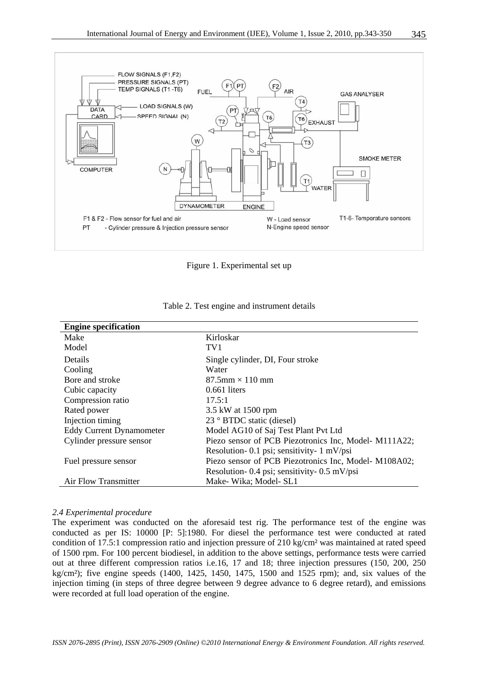

Figure 1. Experimental set up

| <b>Engine specification</b>     |                                                       |
|---------------------------------|-------------------------------------------------------|
| Make                            | Kirloskar                                             |
| Model                           | TV1                                                   |
| <b>Details</b>                  | Single cylinder, DI, Four stroke                      |
| Cooling                         | Water                                                 |
| Bore and stroke                 | $87.5$ mm $\times$ 110 mm                             |
| Cubic capacity                  | $0.661$ liters                                        |
| Compression ratio               | 17.5:1                                                |
| Rated power                     | 3.5 kW at 1500 rpm                                    |
| Injection timing                | 23 ° BTDC static (diesel)                             |
| <b>Eddy Current Dynamometer</b> | Model AG10 of Saj Test Plant Pvt Ltd                  |
| Cylinder pressure sensor        | Piezo sensor of PCB Piezotronics Inc, Model-M111A22;  |
|                                 | Resolution- 0.1 psi; sensitivity- 1 mV/psi            |
| Fuel pressure sensor            | Piezo sensor of PCB Piezotronics Inc, Model- M108A02; |
|                                 | Resolution- 0.4 psi; sensitivity- 0.5 mV/psi          |
| Air Flow Transmitter            | Make-Wika; Model-SL1                                  |

| Table 2. Test engine and instrument details |  |  |  |
|---------------------------------------------|--|--|--|
|---------------------------------------------|--|--|--|

#### *2.4 Experimental procedure*

The experiment was conducted on the aforesaid test rig. The performance test of the engine was conducted as per IS: 10000 [P: 5]:1980. For diesel the performance test were conducted at rated condition of 17.5:1 compression ratio and injection pressure of 210 kg/cm<sup>2</sup> was maintained at rated speed of 1500 rpm. For 100 percent biodiesel, in addition to the above settings, performance tests were carried out at three different compression ratios i.e.16, 17 and 18; three injection pressures (150, 200, 250 kg/cm²); five engine speeds (1400, 1425, 1450, 1475, 1500 and 1525 rpm); and, six values of the injection timing (in steps of three degree between 9 degree advance to 6 degree retard), and emissions were recorded at full load operation of the engine.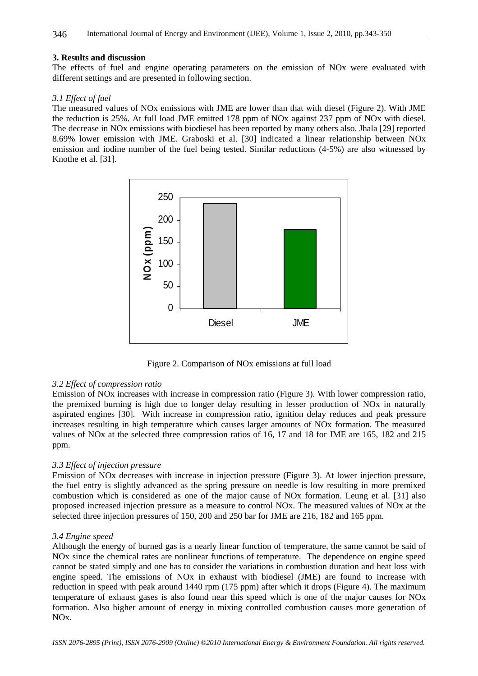#### **3. Results and discussion**

The effects of fuel and engine operating parameters on the emission of NOx were evaluated with different settings and are presented in following section.

#### *3.1 Effect of fuel*

The measured values of NOx emissions with JME are lower than that with diesel (Figure 2). With JME the reduction is 25%. At full load JME emitted 178 ppm of NOx against 237 ppm of NOx with diesel. The decrease in NOx emissions with biodiesel has been reported by many others also. Jhala [29] reported 8.69% lower emission with JME. Graboski et al. [30] indicated a linear relationship between NOx emission and iodine number of the fuel being tested. Similar reductions (4-5%) are also witnessed by Knothe et al. [31].



Figure 2. Comparison of NOx emissions at full load

#### *3.2 Effect of compression ratio*

Emission of NOx increases with increase in compression ratio (Figure 3). With lower compression ratio, the premixed burning is high due to longer delay resulting in lesser production of NOx in naturally aspirated engines [30]. With increase in compression ratio, ignition delay reduces and peak pressure increases resulting in high temperature which causes larger amounts of NOx formation. The measured values of NOx at the selected three compression ratios of 16, 17 and 18 for JME are 165, 182 and 215 ppm.

#### *3.3 Effect of injection pressure*

Emission of NOx decreases with increase in injection pressure (Figure 3). At lower injection pressure, the fuel entry is slightly advanced as the spring pressure on needle is low resulting in more premixed combustion which is considered as one of the major cause of NOx formation. Leung et al. [31] also proposed increased injection pressure as a measure to control NOx. The measured values of NOx at the selected three injection pressures of 150, 200 and 250 bar for JME are 216, 182 and 165 ppm.

#### *3.4 Engine speed*

Although the energy of burned gas is a nearly linear function of temperature, the same cannot be said of NOx since the chemical rates are nonlinear functions of temperature. The dependence on engine speed cannot be stated simply and one has to consider the variations in combustion duration and heat loss with engine speed. The emissions of NOx in exhaust with biodiesel (JME) are found to increase with reduction in speed with peak around 1440 rpm (175 ppm) after which it drops (Figure 4). The maximum temperature of exhaust gases is also found near this speed which is one of the major causes for NOx formation. Also higher amount of energy in mixing controlled combustion causes more generation of NOx.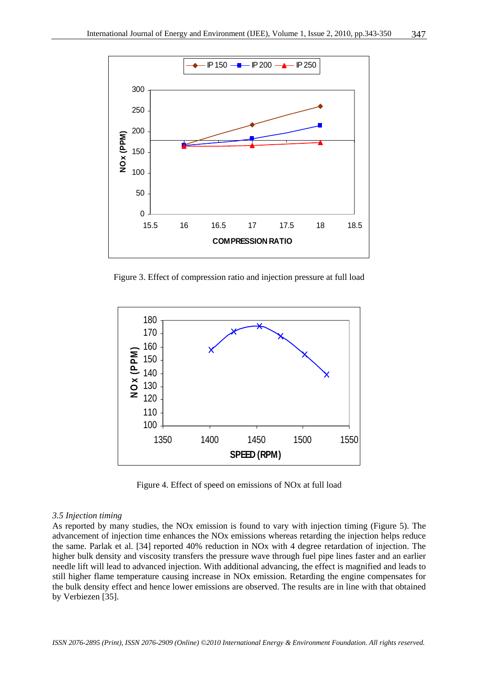

Figure 3. Effect of compression ratio and injection pressure at full load



Figure 4. Effect of speed on emissions of NOx at full load

#### *3.5 Injection timing*

As reported by many studies, the NOx emission is found to vary with injection timing (Figure 5). The advancement of injection time enhances the NOx emissions whereas retarding the injection helps reduce the same. Parlak et al. [34] reported 40% reduction in NOx with 4 degree retardation of injection. The higher bulk density and viscosity transfers the pressure wave through fuel pipe lines faster and an earlier needle lift will lead to advanced injection. With additional advancing, the effect is magnified and leads to still higher flame temperature causing increase in NOx emission. Retarding the engine compensates for the bulk density effect and hence lower emissions are observed. The results are in line with that obtained by Verbiezen [35].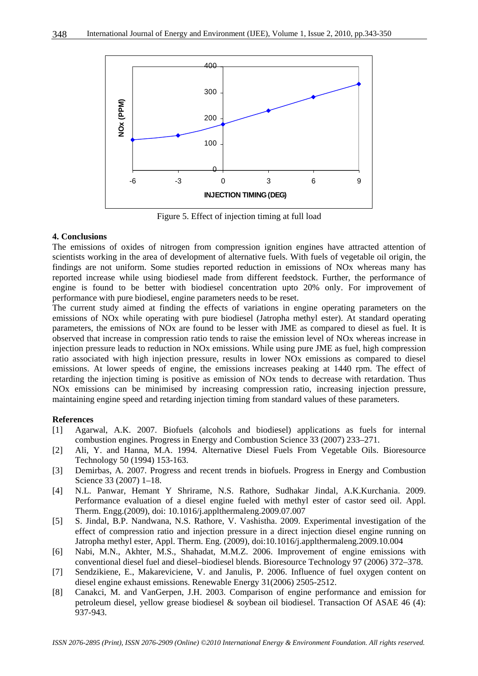

Figure 5. Effect of injection timing at full load

#### **4. Conclusions**

The emissions of oxides of nitrogen from compression ignition engines have attracted attention of scientists working in the area of development of alternative fuels. With fuels of vegetable oil origin, the findings are not uniform. Some studies reported reduction in emissions of NOx whereas many has reported increase while using biodiesel made from different feedstock. Further, the performance of engine is found to be better with biodiesel concentration upto 20% only. For improvement of performance with pure biodiesel, engine parameters needs to be reset.

The current study aimed at finding the effects of variations in engine operating parameters on the emissions of NOx while operating with pure biodiesel (Jatropha methyl ester). At standard operating parameters, the emissions of NOx are found to be lesser with JME as compared to diesel as fuel. It is observed that increase in compression ratio tends to raise the emission level of NOx whereas increase in injection pressure leads to reduction in NOx emissions. While using pure JME as fuel, high compression ratio associated with high injection pressure, results in lower NOx emissions as compared to diesel emissions. At lower speeds of engine, the emissions increases peaking at 1440 rpm. The effect of retarding the injection timing is positive as emission of NOx tends to decrease with retardation. Thus NOx emissions can be minimised by increasing compression ratio, increasing injection pressure, maintaining engine speed and retarding injection timing from standard values of these parameters.

#### **References**

- [1] Agarwal, A.K. 2007. Biofuels (alcohols and biodiesel) applications as fuels for internal combustion engines. Progress in Energy and Combustion Science 33 (2007) 233–271.
- [2] Ali, Y. and Hanna, M.A. 1994. Alternative Diesel Fuels From Vegetable Oils. Bioresource Technology 50 (1994) 153-163.
- [3] Demirbas, A. 2007. Progress and recent trends in biofuels. Progress in Energy and Combustion Science 33 (2007) 1–18.
- [4] N.L. Panwar, Hemant Y Shrirame, N.S. Rathore, Sudhakar Jindal, A.K.Kurchania. 2009. Performance evaluation of a diesel engine fueled with methyl ester of castor seed oil. Appl. Therm. Engg.(2009), doi: 10.1016/j.applthermaleng.2009.07.007
- [5] S. Jindal, B.P. Nandwana, N.S. Rathore, V. Vashistha. 2009. Experimental investigation of the effect of compression ratio and injection pressure in a direct injection diesel engine running on Jatropha methyl ester, Appl. Therm. Eng. (2009), doi:10.1016/j.applthermaleng.2009.10.004
- [6] Nabi, M.N., Akhter, M.S., Shahadat, M.M.Z. 2006. Improvement of engine emissions with conventional diesel fuel and diesel–biodiesel blends. Bioresource Technology 97 (2006) 372–378.
- [7] Sendzikiene, E., Makareviciene, V. and Janulis, P. 2006. Influence of fuel oxygen content on diesel engine exhaust emissions. Renewable Energy 31(2006) 2505-2512.
- [8] Canakci, M. and VanGerpen, J.H. 2003. Comparison of engine performance and emission for petroleum diesel, yellow grease biodiesel & soybean oil biodiesel. Transaction Of ASAE 46 (4): 937-943.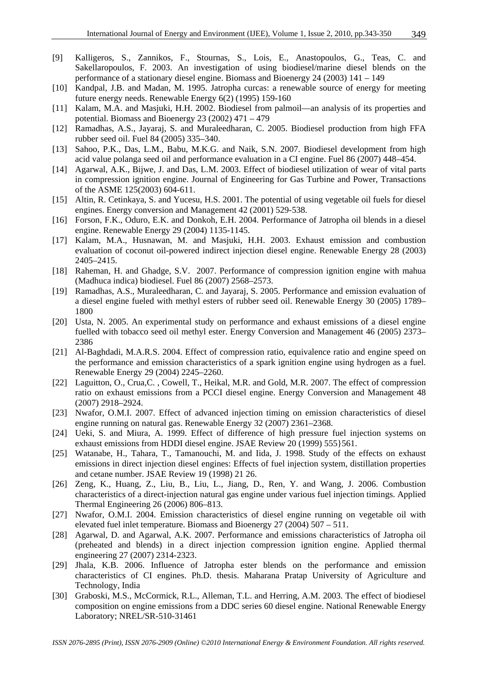- [9] Kalligeros, S., Zannikos, F., Stournas, S., Lois, E., Anastopoulos, G., Teas, C. and Sakellaropoulos, F. 2003. An investigation of using biodiesel/marine diesel blends on the performance of a stationary diesel engine. Biomass and Bioenergy 24 (2003) 141 – 149
- [10] Kandpal, J.B. and Madan, M. 1995. Jatropha curcas: a renewable source of energy for meeting future energy needs. Renewable Energy 6(2) (1995) 159-160
- [11] Kalam, M.A. and Masjuki, H.H. 2002. Biodiesel from palmoil—an analysis of its properties and potential. Biomass and Bioenergy 23 (2002) 471 – 479
- [12] Ramadhas, A.S., Jayaraj, S. and Muraleedharan, C. 2005. Biodiesel production from high FFA rubber seed oil. Fuel 84 (2005) 335–340.
- [13] Sahoo, P.K., Das, L.M., Babu, M.K.G. and Naik, S.N. 2007. Biodiesel development from high acid value polanga seed oil and performance evaluation in a CI engine. Fuel 86 (2007) 448–454.
- [14] Agarwal, A.K., Bijwe, J. and Das, L.M. 2003. Effect of biodiesel utilization of wear of vital parts in compression ignition engine. Journal of Engineering for Gas Turbine and Power, Transactions of the ASME 125(2003) 604-611.
- [15] Altin, R. Cetinkaya, S. and Yucesu, H.S. 2001. The potential of using vegetable oil fuels for diesel engines. Energy conversion and Management 42 (2001) 529-538.
- [16] Forson, F.K., Oduro, E.K. and Donkoh, E.H. 2004. Performance of Jatropha oil blends in a diesel engine. Renewable Energy 29 (2004) 1135-1145.
- [17] Kalam, M.A., Husnawan, M. and Masjuki, H.H. 2003. Exhaust emission and combustion evaluation of coconut oil-powered indirect injection diesel engine. Renewable Energy 28 (2003) 2405–2415.
- [18] Raheman, H. and Ghadge, S.V. 2007. Performance of compression ignition engine with mahua (Madhuca indica) biodiesel. Fuel 86 (2007) 2568–2573.
- [19] Ramadhas, A.S., Muraleedharan, C. and Jayaraj, S. 2005. Performance and emission evaluation of a diesel engine fueled with methyl esters of rubber seed oil. Renewable Energy 30 (2005) 1789– 1800
- [20] Usta, N. 2005. An experimental study on performance and exhaust emissions of a diesel engine fuelled with tobacco seed oil methyl ester. Energy Conversion and Management 46 (2005) 2373– 2386
- [21] Al-Baghdadi, M.A.R.S. 2004. Effect of compression ratio, equivalence ratio and engine speed on the performance and emission characteristics of a spark ignition engine using hydrogen as a fuel. Renewable Energy 29 (2004) 2245–2260.
- [22] Laguitton, O., Crua,C. , Cowell, T., Heikal, M.R. and Gold, M.R. 2007. The effect of compression ratio on exhaust emissions from a PCCI diesel engine. Energy Conversion and Management 48 (2007) 2918–2924.
- [23] Nwafor, O.M.I. 2007. Effect of advanced injection timing on emission characteristics of diesel engine running on natural gas. Renewable Energy 32 (2007) 2361–2368.
- [24] Ueki, S. and Miura, A. 1999. Effect of difference of high pressure fuel injection systems on exhaust emissions from HDDI diesel engine. JSAE Review 20 (1999) 555}561.
- [25] Watanabe, H., Tahara, T., Tamanouchi, M. and Iida, J. 1998. Study of the effects on exhaust emissions in direct injection diesel engines: Effects of fuel injection system, distillation properties and cetane number. JSAE Review 19 (1998) 21 26.
- [26] Zeng, K., Huang, Z., Liu, B., Liu, L., Jiang, D., Ren, Y. and Wang, J. 2006. Combustion characteristics of a direct-injection natural gas engine under various fuel injection timings. Applied Thermal Engineering 26 (2006) 806–813.
- [27] Nwafor, O.M.I. 2004. Emission characteristics of diesel engine running on vegetable oil with elevated fuel inlet temperature. Biomass and Bioenergy 27 (2004) 507 – 511.
- [28] Agarwal, D. and Agarwal, A.K. 2007. Performance and emissions characteristics of Jatropha oil (preheated and blends) in a direct injection compression ignition engine. Applied thermal engineering 27 (2007) 2314-2323.
- [29] Jhala, K.B. 2006. Influence of Jatropha ester blends on the performance and emission characteristics of CI engines. Ph.D. thesis. Maharana Pratap University of Agriculture and Technology, India
- [30] Graboski, M.S., McCormick, R.L., Alleman, T.L. and Herring, A.M. 2003. The effect of biodiesel composition on engine emissions from a DDC series 60 diesel engine. National Renewable Energy Laboratory; NREL/SR-510-31461